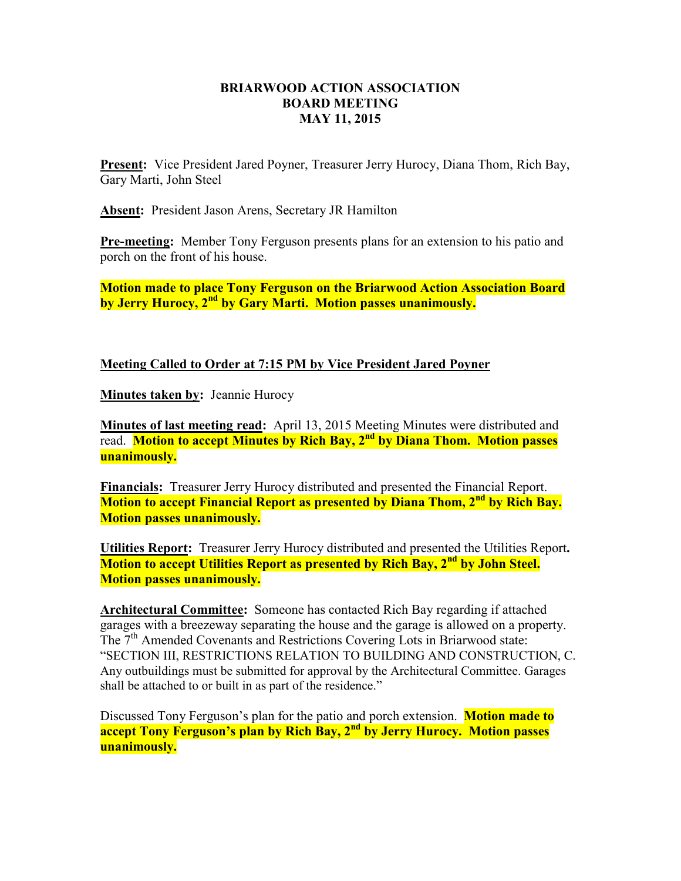## **BRIARWOOD ACTION ASSOCIATION BOARD MEETING MAY 11, 2015**

**Present:** Vice President Jared Poyner, Treasurer Jerry Hurocy, Diana Thom, Rich Bay, Gary Marti, John Steel

**Absent:** President Jason Arens, Secretary JR Hamilton

**Pre-meeting:** Member Tony Ferguson presents plans for an extension to his patio and porch on the front of his house.

**Motion made to place Tony Ferguson on the Briarwood Action Association Board by Jerry Hurocy, 2nd by Gary Marti. Motion passes unanimously.** 

## **Meeting Called to Order at 7:15 PM by Vice President Jared Poyner**

**Minutes taken by:** Jeannie Hurocy

**Minutes of last meeting read:** April 13, 2015 Meeting Minutes were distributed and read. **Motion to accept Minutes by Rich Bay, 2nd by Diana Thom. Motion passes unanimously.** 

**Financials:** Treasurer Jerry Hurocy distributed and presented the Financial Report. **Motion to accept Financial Report as presented by Diana Thom, 2nd by Rich Bay. Motion passes unanimously.** 

**Utilities Report:** Treasurer Jerry Hurocy distributed and presented the Utilities Report**. Motion to accept Utilities Report as presented by Rich Bay, 2nd by John Steel. Motion passes unanimously.** 

**Architectural Committee:** Someone has contacted Rich Bay regarding if attached garages with a breezeway separating the house and the garage is allowed on a property. The 7<sup>th</sup> Amended Covenants and Restrictions Covering Lots in Briarwood state: "SECTION III, RESTRICTIONS RELATION TO BUILDING AND CONSTRUCTION, C. Any outbuildings must be submitted for approval by the Architectural Committee. Garages shall be attached to or built in as part of the residence."

Discussed Tony Ferguson's plan for the patio and porch extension. **Motion made to accept Tony Ferguson's plan by Rich Bay, 2nd by Jerry Hurocy. Motion passes unanimously.**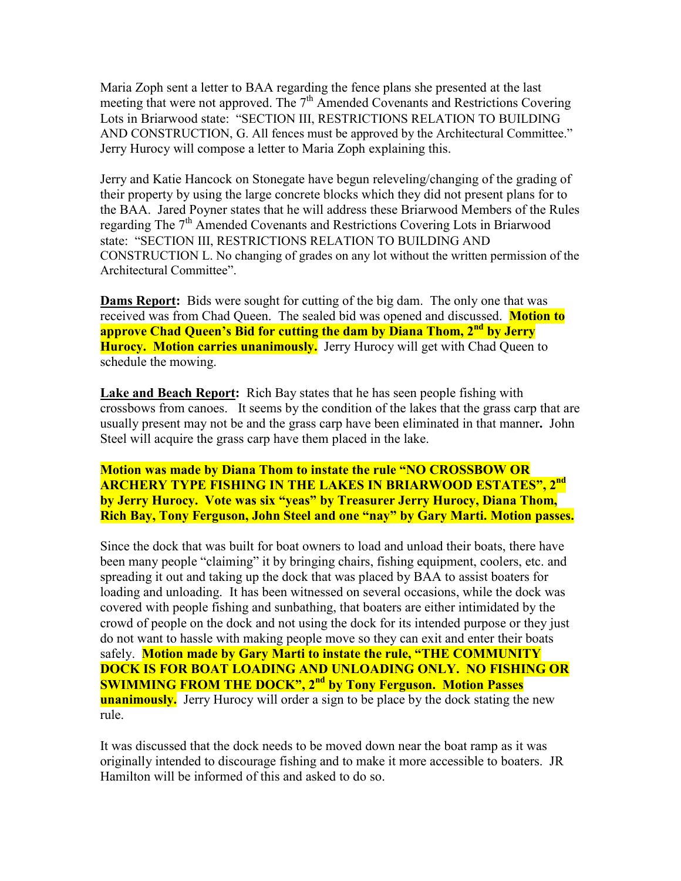Maria Zoph sent a letter to BAA regarding the fence plans she presented at the last meeting that were not approved. The  $7<sup>th</sup>$  Amended Covenants and Restrictions Covering Lots in Briarwood state: "SECTION III, RESTRICTIONS RELATION TO BUILDING AND CONSTRUCTION, G. All fences must be approved by the Architectural Committee." Jerry Hurocy will compose a letter to Maria Zoph explaining this.

Jerry and Katie Hancock on Stonegate have begun releveling/changing of the grading of their property by using the large concrete blocks which they did not present plans for to the BAA. Jared Poyner states that he will address these Briarwood Members of the Rules regarding The  $7<sup>th</sup>$  Amended Covenants and Restrictions Covering Lots in Briarwood state: "SECTION III, RESTRICTIONS RELATION TO BUILDING AND CONSTRUCTION L. No changing of grades on any lot without the written permission of the Architectural Committee".

**Dams Report:** Bids were sought for cutting of the big dam. The only one that was received was from Chad Queen. The sealed bid was opened and discussed. **Motion to approve Chad Queen's Bid for cutting the dam by Diana Thom, 2nd by Jerry Hurocy. Motion carries unanimously.** Jerry Hurocy will get with Chad Queen to schedule the mowing.

**Lake and Beach Report:** Rich Bay states that he has seen people fishing with crossbows from canoes. It seems by the condition of the lakes that the grass carp that are usually present may not be and the grass carp have been eliminated in that manner**.** John Steel will acquire the grass carp have them placed in the lake.

**Motion was made by Diana Thom to instate the rule "NO CROSSBOW OR ARCHERY TYPE FISHING IN THE LAKES IN BRIARWOOD ESTATES", 2nd by Jerry Hurocy. Vote was six "yeas" by Treasurer Jerry Hurocy, Diana Thom, Rich Bay, Tony Ferguson, John Steel and one "nay" by Gary Marti. Motion passes.** 

Since the dock that was built for boat owners to load and unload their boats, there have been many people "claiming" it by bringing chairs, fishing equipment, coolers, etc. and spreading it out and taking up the dock that was placed by BAA to assist boaters for loading and unloading. It has been witnessed on several occasions, while the dock was covered with people fishing and sunbathing, that boaters are either intimidated by the crowd of people on the dock and not using the dock for its intended purpose or they just do not want to hassle with making people move so they can exit and enter their boats safely. **Motion made by Gary Marti to instate the rule, "THE COMMUNITY DOCK IS FOR BOAT LOADING AND UNLOADING ONLY. NO FISHING OR SWIMMING FROM THE DOCK", 2nd by Tony Ferguson. Motion Passes unanimously.** Jerry Hurocy will order a sign to be place by the dock stating the new rule.

It was discussed that the dock needs to be moved down near the boat ramp as it was originally intended to discourage fishing and to make it more accessible to boaters. JR Hamilton will be informed of this and asked to do so.